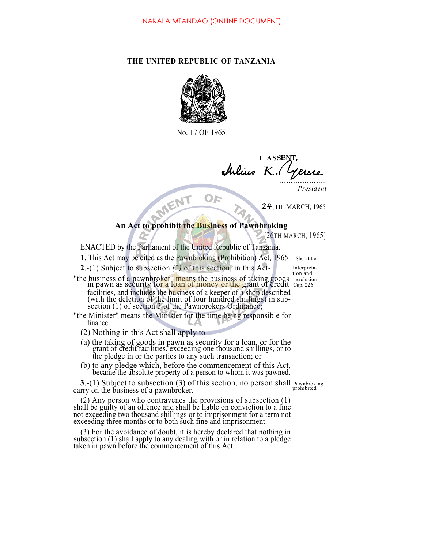## **THE UNITED REPUBLIC OF TANZANIA**



No. 17 OF 1965

**I ASSE** <sup>J</sup> *K.*

*President*

**2.4** TH MARCH, 1965

## **An Act to prohibit the Business of Pawnbroking**

[26TH MARCH, 1965]

ENACTED by the Parliament of the United Republic of Tanzania.

**1**. This Act may be cited as the Pawnbroking (Prohibition) Act, 1965. Short title

**2**.-(1) Subject to subsection *(2)* of this section, in this Act- Interpreta-

- ''the business of a pawnbroker'' means the business of taking goods exclusion in pawn as security for a loan of money or the grant of credit Cap. 226 facilities, and includes the business of a keeper of a shop described (with the deletion of the limit of four hundred shillings) in subsection (1) of section 3 of the Pawnbrokers Ordinance;
- ''the Minister'' means the Minister for the time being responsible for finance.
	- (2) Nothing in this Act shall apply to-
	- (a) the taking of goods in pawn as security for a loan, or for the grant of credit facilities, exceeding one thousand shillings, or to the pledge in or the parties to any such transaction; or
	- (b) to any pledge which, before the commencement of this Act, became the absolute property of a person to whom it was pawned.

**3**.-(1) Subject to subsection (3) of this section, no person shall Pawnbroking carry on the business of a pawnbroker.

(2) Any person who contravenes the provisions of subsection (1) shall be guilty of an offence and shall be liable on conviction to a fine not exceeding two thousand shillings or to imprisonment for a term not exceeding three months or to both such fine and imprisonment.

(3) For the avoidance of doubt, it is hereby declared that nothing in subsection (1) shall apply to any dealing with or in relation to a pledge taken in pawn before the commencement of this Act.

tion and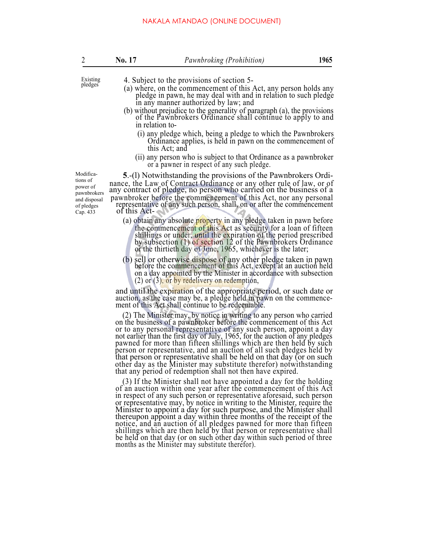|  | No. 17 | Pawnbroking (Prohibition) | 1965 |
|--|--------|---------------------------|------|
|--|--------|---------------------------|------|

- 
- Existing 4. Subject to the provisions of section 5-<br>pledges (a) where, on the commencement of this Act, any person holds any pledge in pawn, he may deal with and in relation to such pledge in any manner authorized by law; and
	- (b) without prejudice to the generality of paragraph (a), the provisions of the Pawnbrokers Ordinance shall continue to apply to and in relation to-
		- (i) any pledge which, being a pledge to which the Pawnbrokers Ordinance applies, is held in pawn on the commencement of this Act; and
		- (ii) any person who is subject to that Ordinance as a pawnbroker or a pawner in respect of any such pledge.

Modifications of power of pawnbrokers and disposal of pledges Cap. 433

**5**.-(l) Notwithstanding the provisions of the Pawnbrokers Ordinance, the Law of Contract Ordinance or any other rule of law, or of any contract of pledge, no person who carried on the business of a pawnbroker before the commencement of this Act, nor any personal representative of any such person, shall, on or after the commencement of this Act-

- (a) obtain any absolute property in any pledge taken in pawn before the commencement of this Act as security for a loan of fifteen shillings or under, until the expiration of the period prescribed by subsection (1) of section 12 of the Pawnbrokers Ordinance or the thirtieth day of June, 1965, whichever is the later;
- (b) sell or otherwise dispose of any other pledge taken in pawn before the commencement of this Act, except at an auction held on a day appointed by the Minister in accordance with subsection  $(2)$  or  $(3)$ , or by redelivery on redemption,

and until the expiration of the appropriate period, or such date or auction, as the case may be, a pledge held in pawn on the commencement of this Act shall continue to be redeemable.

(2) The Minister may, by notice in writing to any person who carried on the business of a pawnbroker before the commencement of this Act or to any personal representative of any such person, appoint a day not earlier than the first day of July, 1965, for the auction of any pledges pawned for more than fifteen shillings which are then held by such person or representative, and an auction of all such pledges held by that person or representative shall be held on that day (or on such other day as the Minister may substitute therefor) notwithstanding that any period of redemption shall not then have expired.

(3) If the Minister shall not have appointed a day for the holding of an auction within one year after the commencement of this Act in respect of any such person or representative aforesaid, such person or representative may, by notice in writing to the Minister, require the Minister to appoint a day for such purpose, and the Minister shall thereupon appoint a day within three months of the receipt of the notice, and an auction of all pledges pawned for more than fifteen shillings which are then held by that person or representative shall be held on that day (or on such other day within such period of three months as the Minister may substitute therefor).